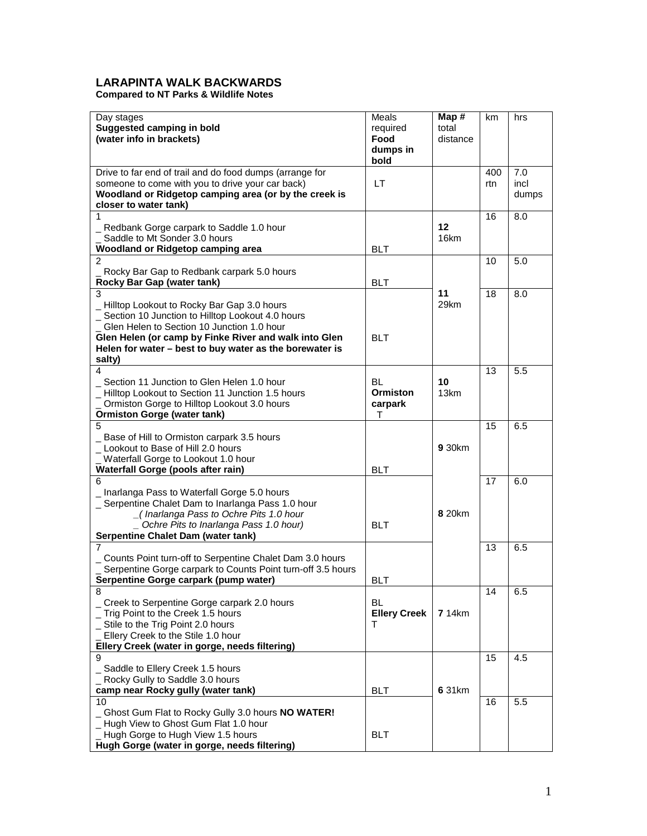## **LARAPINTA WALK BACKWARDS**

**Compared to NT Parks & Wildlife Notes**

| Day stages<br><b>Suggested camping in bold</b><br>(water info in brackets)                                                                                                                                                                                                        | Meals<br>required<br>Food<br>dumps in<br>bold | Map#<br>total<br>distance | km         | hrs                  |
|-----------------------------------------------------------------------------------------------------------------------------------------------------------------------------------------------------------------------------------------------------------------------------------|-----------------------------------------------|---------------------------|------------|----------------------|
| Drive to far end of trail and do food dumps (arrange for<br>someone to come with you to drive your car back)<br>Woodland or Ridgetop camping area (or by the creek is<br>closer to water tank)                                                                                    | LT                                            |                           | 400<br>rtn | 7.0<br>incl<br>dumps |
| 1<br>Redbank Gorge carpark to Saddle 1.0 hour<br>Saddle to Mt Sonder 3.0 hours<br>Woodland or Ridgetop camping area                                                                                                                                                               | <b>BLT</b>                                    | 12<br>16km                | 16         | 8.0                  |
| $\overline{2}$<br>Rocky Bar Gap to Redbank carpark 5.0 hours<br>Rocky Bar Gap (water tank)                                                                                                                                                                                        | <b>BLT</b>                                    |                           | 10         | 5.0                  |
| 3<br>_ Hilltop Lookout to Rocky Bar Gap 3.0 hours<br>Section 10 Junction to Hilltop Lookout 4.0 hours<br>Glen Helen to Section 10 Junction 1.0 hour<br>Glen Helen (or camp by Finke River and walk into Glen<br>Helen for water - best to buy water as the borewater is<br>salty) | <b>BLT</b>                                    | 11<br>29km                | 18         | 8.0                  |
| 4<br>Section 11 Junction to Glen Helen 1.0 hour<br>- Hilltop Lookout to Section 11 Junction 1.5 hours<br>Ormiston Gorge to Hilltop Lookout 3.0 hours<br><b>Ormiston Gorge (water tank)</b>                                                                                        | BL<br><b>Ormiston</b><br>carpark<br>т         | 10<br>13km                | 13         | 5.5                  |
| 5<br>Base of Hill to Ormiston carpark 3.5 hours<br>_ Lookout to Base of Hill 2.0 hours<br>Waterfall Gorge to Lookout 1.0 hour<br>Waterfall Gorge (pools after rain)                                                                                                               | <b>BLT</b>                                    | 9 30km                    | 15         | 6.5                  |
| 6<br>Inarlanga Pass to Waterfall Gorge 5.0 hours<br>_ Serpentine Chalet Dam to Inarlanga Pass 1.0 hour<br>_(Inarlanga Pass to Ochre Pits 1.0 hour<br>Ochre Pits to Inarlanga Pass 1.0 hour)<br>Serpentine Chalet Dam (water tank)                                                 | <b>BLT</b>                                    | <b>820km</b>              | 17         | 6.0                  |
| 7<br>_ Counts Point turn-off to Serpentine Chalet Dam 3.0 hours<br>Serpentine Gorge carpark to Counts Point turn-off 3.5 hours<br>Serpentine Gorge carpark (pump water)                                                                                                           | <b>BLT</b>                                    |                           | 13         | 6.5                  |
| 8<br>_ Creek to Serpentine Gorge carpark 2.0 hours<br>Trig Point to the Creek 1.5 hours<br>_ Stile to the Trig Point 2.0 hours<br>Ellery Creek to the Stile 1.0 hour<br>Ellery Creek (water in gorge, needs filtering)                                                            | BL<br><b>Ellery Creek</b><br>т                | <b>7</b> 14km             | 14         | 6.5                  |
| 9<br>Saddle to Ellery Creek 1.5 hours<br>Rocky Gully to Saddle 3.0 hours<br>camp near Rocky gully (water tank)                                                                                                                                                                    | <b>BLT</b>                                    | 6 31km                    | 15         | 4.5                  |
| 10<br>Ghost Gum Flat to Rocky Gully 3.0 hours NO WATER!<br>_Hugh View to Ghost Gum Flat 1.0 hour<br>Hugh Gorge to Hugh View 1.5 hours<br>Hugh Gorge (water in gorge, needs filtering)                                                                                             | <b>BLT</b>                                    |                           | 16         | 5.5                  |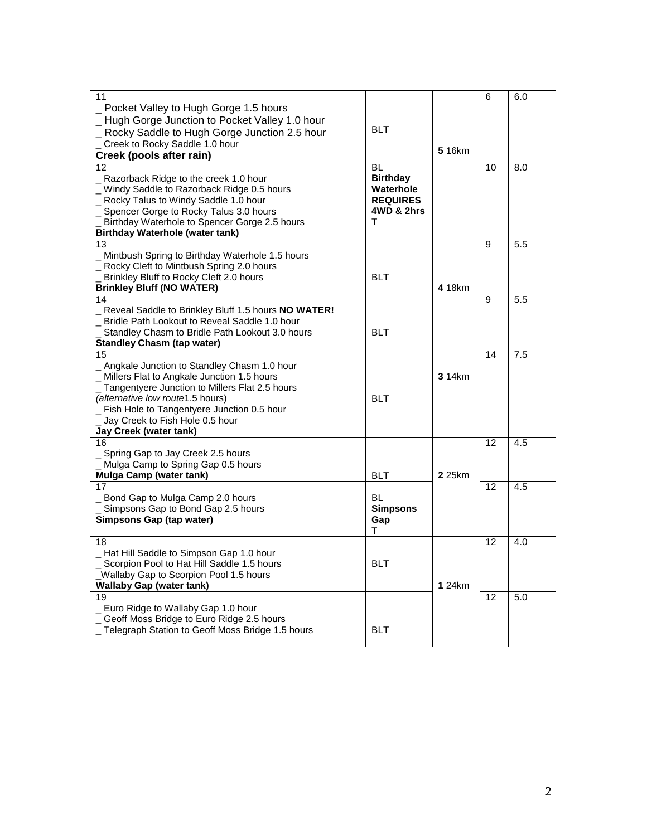| 11                                                  |                 |        | 6  | 6.0 |
|-----------------------------------------------------|-----------------|--------|----|-----|
| Pocket Valley to Hugh Gorge 1.5 hours               |                 |        |    |     |
| Hugh Gorge Junction to Pocket Valley 1.0 hour       |                 |        |    |     |
|                                                     | <b>BLT</b>      |        |    |     |
| Rocky Saddle to Hugh Gorge Junction 2.5 hour        |                 |        |    |     |
| Creek to Rocky Saddle 1.0 hour                      |                 |        |    |     |
| Creek (pools after rain)                            |                 | 5 16km |    |     |
| 12                                                  | BL              |        | 10 | 8.0 |
| Razorback Ridge to the creek 1.0 hour               | <b>Birthday</b> |        |    |     |
| _ Windy Saddle to Razorback Ridge 0.5 hours         | Waterhole       |        |    |     |
| _ Rocky Talus to Windy Saddle 1.0 hour              | <b>REQUIRES</b> |        |    |     |
| _ Spencer Gorge to Rocky Talus 3.0 hours            | 4WD & 2hrs      |        |    |     |
| Birthday Waterhole to Spencer Gorge 2.5 hours       | т               |        |    |     |
|                                                     |                 |        |    |     |
| <b>Birthday Waterhole (water tank)</b>              |                 |        |    |     |
| 13                                                  |                 |        | 9  | 5.5 |
| _ Mintbush Spring to Birthday Waterhole 1.5 hours   |                 |        |    |     |
| _ Rocky Cleft to Mintbush Spring 2.0 hours          |                 |        |    |     |
| Brinkley Bluff to Rocky Cleft 2.0 hours             | <b>BLT</b>      |        |    |     |
| <b>Brinkley Bluff (NO WATER)</b>                    |                 | 4 18km |    |     |
| 14                                                  |                 |        | 9  | 5.5 |
| Reveal Saddle to Brinkley Bluff 1.5 hours NO WATER! |                 |        |    |     |
| _ Bridle Path Lookout to Reveal Saddle 1.0 hour     |                 |        |    |     |
| Standley Chasm to Bridle Path Lookout 3.0 hours     | <b>BLT</b>      |        |    |     |
| <b>Standley Chasm (tap water)</b>                   |                 |        |    |     |
| 15                                                  |                 |        | 14 | 7.5 |
| _ Angkale Junction to Standley Chasm 1.0 hour       |                 |        |    |     |
| _ Millers Flat to Angkale Junction 1.5 hours        |                 | 3 14km |    |     |
|                                                     |                 |        |    |     |
| _ Tangentyere Junction to Millers Flat 2.5 hours    |                 |        |    |     |
| (alternative low route1.5 hours)                    | <b>BLT</b>      |        |    |     |
| _ Fish Hole to Tangentyere Junction 0.5 hour        |                 |        |    |     |
| _ Jay Creek to Fish Hole 0.5 hour                   |                 |        |    |     |
| Jay Creek (water tank)                              |                 |        |    |     |
| 16                                                  |                 |        | 12 | 4.5 |
| Spring Gap to Jay Creek 2.5 hours                   |                 |        |    |     |
| _ Mulga Camp to Spring Gap 0.5 hours                |                 |        |    |     |
| Mulga Camp (water tank)                             | <b>BLT</b>      | 2 25km |    |     |
| 17                                                  |                 |        | 12 | 4.5 |
| _ Bond Gap to Mulga Camp 2.0 hours                  | <b>BL</b>       |        |    |     |
| Simpsons Gap to Bond Gap 2.5 hours                  | <b>Simpsons</b> |        |    |     |
| Simpsons Gap (tap water)                            | Gap             |        |    |     |
|                                                     | т               |        |    |     |
| 18                                                  |                 |        | 12 | 4.0 |
| _ Hat Hill Saddle to Simpson Gap 1.0 hour           |                 |        |    |     |
| Scorpion Pool to Hat Hill Saddle 1.5 hours          | <b>BLT</b>      |        |    |     |
| _Wallaby Gap to Scorpion Pool 1.5 hours             |                 |        |    |     |
|                                                     |                 |        |    |     |
| <b>Wallaby Gap (water tank)</b>                     |                 | 1 24km |    |     |
| 19                                                  |                 |        | 12 | 5.0 |
| _ Euro Ridge to Wallaby Gap 1.0 hour                |                 |        |    |     |
| Geoff Moss Bridge to Euro Ridge 2.5 hours           |                 |        |    |     |
| _ Telegraph Station to Geoff Moss Bridge 1.5 hours  | <b>BLT</b>      |        |    |     |
|                                                     |                 |        |    |     |